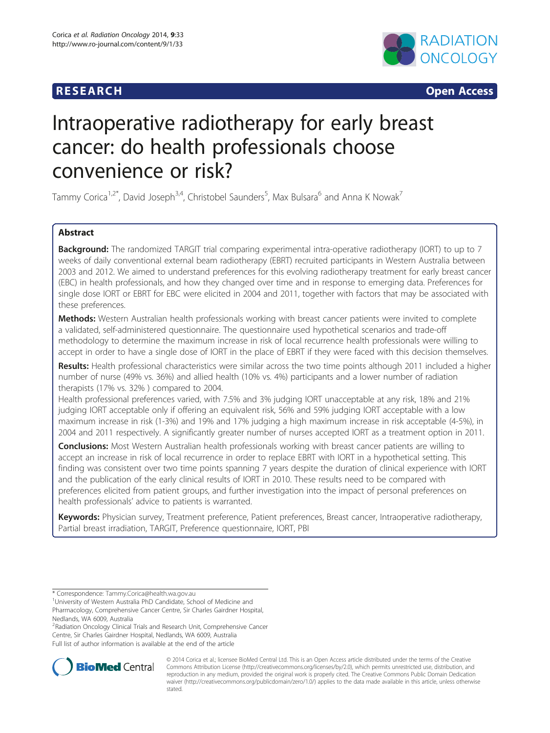

**RESEARCH RESEARCH CONSUMING ACCESS** 

# Intraoperative radiotherapy for early breast cancer: do health professionals choose convenience or risk?

Tammy Corica<sup>1,2\*</sup>, David Joseph<sup>3,4</sup>, Christobel Saunders<sup>5</sup>, Max Bulsara<sup>6</sup> and Anna K Nowak<sup>7</sup>

# Abstract

Background: The randomized TARGIT trial comparing experimental intra-operative radiotherapy (IORT) to up to 7 weeks of daily conventional external beam radiotherapy (EBRT) recruited participants in Western Australia between 2003 and 2012. We aimed to understand preferences for this evolving radiotherapy treatment for early breast cancer (EBC) in health professionals, and how they changed over time and in response to emerging data. Preferences for single dose IORT or EBRT for EBC were elicited in 2004 and 2011, together with factors that may be associated with these preferences.

Methods: Western Australian health professionals working with breast cancer patients were invited to complete a validated, self-administered questionnaire. The questionnaire used hypothetical scenarios and trade-off methodology to determine the maximum increase in risk of local recurrence health professionals were willing to accept in order to have a single dose of IORT in the place of EBRT if they were faced with this decision themselves.

Results: Health professional characteristics were similar across the two time points although 2011 included a higher number of nurse (49% vs. 36%) and allied health (10% vs. 4%) participants and a lower number of radiation therapists (17% vs. 32% ) compared to 2004.

Health professional preferences varied, with 7.5% and 3% judging IORT unacceptable at any risk, 18% and 21% judging IORT acceptable only if offering an equivalent risk, 56% and 59% judging IORT acceptable with a low maximum increase in risk (1-3%) and 19% and 17% judging a high maximum increase in risk acceptable (4-5%), in 2004 and 2011 respectively. A significantly greater number of nurses accepted IORT as a treatment option in 2011.

**Conclusions:** Most Western Australian health professionals working with breast cancer patients are willing to accept an increase in risk of local recurrence in order to replace EBRT with IORT in a hypothetical setting. This finding was consistent over two time points spanning 7 years despite the duration of clinical experience with IORT and the publication of the early clinical results of IORT in 2010. These results need to be compared with preferences elicited from patient groups, and further investigation into the impact of personal preferences on health professionals' advice to patients is warranted.

Keywords: Physician survey, Treatment preference, Patient preferences, Breast cancer, Intraoperative radiotherapy, Partial breast irradiation, TARGIT, Preference questionnaire, IORT, PBI

<sup>2</sup> Radiation Oncology Clinical Trials and Research Unit, Comprehensive Cancer Centre, Sir Charles Gairdner Hospital, Nedlands, WA 6009, Australia Full list of author information is available at the end of the article



© 2014 Corica et al.; licensee BioMed Central Ltd. This is an Open Access article distributed under the terms of the Creative Commons Attribution License [\(http://creativecommons.org/licenses/by/2.0\)](http://creativecommons.org/licenses/by/2.0), which permits unrestricted use, distribution, and reproduction in any medium, provided the original work is properly cited. The Creative Commons Public Domain Dedication waiver [\(http://creativecommons.org/publicdomain/zero/1.0/\)](http://creativecommons.org/publicdomain/zero/1.0/) applies to the data made available in this article, unless otherwise stated.

<sup>\*</sup> Correspondence: [Tammy.Corica@health.wa.gov.au](mailto:Tammy.Corica@health.wa.gov.au) <sup>1</sup>

University of Western Australia PhD Candidate, School of Medicine and Pharmacology, Comprehensive Cancer Centre, Sir Charles Gairdner Hospital, Nedlands, WA 6009, Australia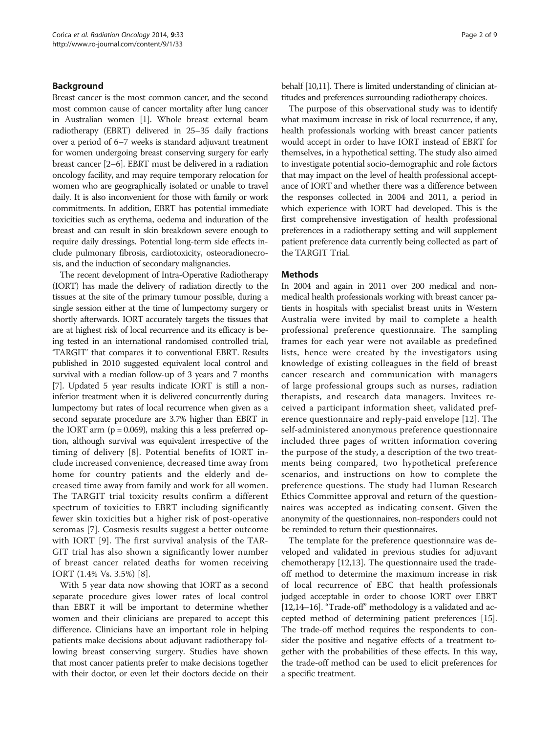# Background

Breast cancer is the most common cancer, and the second most common cause of cancer mortality after lung cancer in Australian women [\[1](#page-8-0)]. Whole breast external beam radiotherapy (EBRT) delivered in 25–35 daily fractions over a period of 6–7 weeks is standard adjuvant treatment for women undergoing breast conserving surgery for early breast cancer [\[2](#page-8-0)–[6](#page-8-0)]. EBRT must be delivered in a radiation oncology facility, and may require temporary relocation for women who are geographically isolated or unable to travel daily. It is also inconvenient for those with family or work commitments. In addition, EBRT has potential immediate toxicities such as erythema, oedema and induration of the breast and can result in skin breakdown severe enough to require daily dressings. Potential long-term side effects include pulmonary fibrosis, cardiotoxicity, osteoradionecrosis, and the induction of secondary malignancies.

The recent development of Intra-Operative Radiotherapy (IORT) has made the delivery of radiation directly to the tissues at the site of the primary tumour possible, during a single session either at the time of lumpectomy surgery or shortly afterwards. IORT accurately targets the tissues that are at highest risk of local recurrence and its efficacy is being tested in an international randomised controlled trial, 'TARGIT' that compares it to conventional EBRT. Results published in 2010 suggested equivalent local control and survival with a median follow-up of 3 years and 7 months [[7](#page-8-0)]. Updated 5 year results indicate IORT is still a noninferior treatment when it is delivered concurrently during lumpectomy but rates of local recurrence when given as a second separate procedure are 3.7% higher than EBRT in the IORT arm ( $p = 0.069$ ), making this a less preferred option, although survival was equivalent irrespective of the timing of delivery [\[8](#page-8-0)]. Potential benefits of IORT include increased convenience, decreased time away from home for country patients and the elderly and decreased time away from family and work for all women. The TARGIT trial toxicity results confirm a different spectrum of toxicities to EBRT including significantly fewer skin toxicities but a higher risk of post-operative seromas [[7\]](#page-8-0). Cosmesis results suggest a better outcome with IORT [[9](#page-8-0)]. The first survival analysis of the TAR-GIT trial has also shown a significantly lower number of breast cancer related deaths for women receiving IORT (1.4% Vs. 3.5%) [\[8](#page-8-0)].

With 5 year data now showing that IORT as a second separate procedure gives lower rates of local control than EBRT it will be important to determine whether women and their clinicians are prepared to accept this difference. Clinicians have an important role in helping patients make decisions about adjuvant radiotherapy following breast conserving surgery. Studies have shown that most cancer patients prefer to make decisions together with their doctor, or even let their doctors decide on their behalf [\[10,11\]](#page-8-0). There is limited understanding of clinician attitudes and preferences surrounding radiotherapy choices.

The purpose of this observational study was to identify what maximum increase in risk of local recurrence, if any, health professionals working with breast cancer patients would accept in order to have IORT instead of EBRT for themselves, in a hypothetical setting. The study also aimed to investigate potential socio-demographic and role factors that may impact on the level of health professional acceptance of IORT and whether there was a difference between the responses collected in 2004 and 2011, a period in which experience with IORT had developed. This is the first comprehensive investigation of health professional preferences in a radiotherapy setting and will supplement patient preference data currently being collected as part of the TARGIT Trial.

# **Methods**

In 2004 and again in 2011 over 200 medical and nonmedical health professionals working with breast cancer patients in hospitals with specialist breast units in Western Australia were invited by mail to complete a health professional preference questionnaire. The sampling frames for each year were not available as predefined lists, hence were created by the investigators using knowledge of existing colleagues in the field of breast cancer research and communication with managers of large professional groups such as nurses, radiation therapists, and research data managers. Invitees received a participant information sheet, validated preference questionnaire and reply-paid envelope [\[12\]](#page-8-0). The self-administered anonymous preference questionnaire included three pages of written information covering the purpose of the study, a description of the two treatments being compared, two hypothetical preference scenarios, and instructions on how to complete the preference questions. The study had Human Research Ethics Committee approval and return of the questionnaires was accepted as indicating consent. Given the anonymity of the questionnaires, non-responders could not be reminded to return their questionnaires.

The template for the preference questionnaire was developed and validated in previous studies for adjuvant chemotherapy [[12,13\]](#page-8-0). The questionnaire used the tradeoff method to determine the maximum increase in risk of local recurrence of EBC that health professionals judged acceptable in order to choose IORT over EBRT [[12](#page-8-0),[14](#page-8-0)–[16\]](#page-8-0). "Trade-off" methodology is a validated and accepted method of determining patient preferences [[15](#page-8-0)]. The trade-off method requires the respondents to consider the positive and negative effects of a treatment together with the probabilities of these effects. In this way, the trade-off method can be used to elicit preferences for a specific treatment.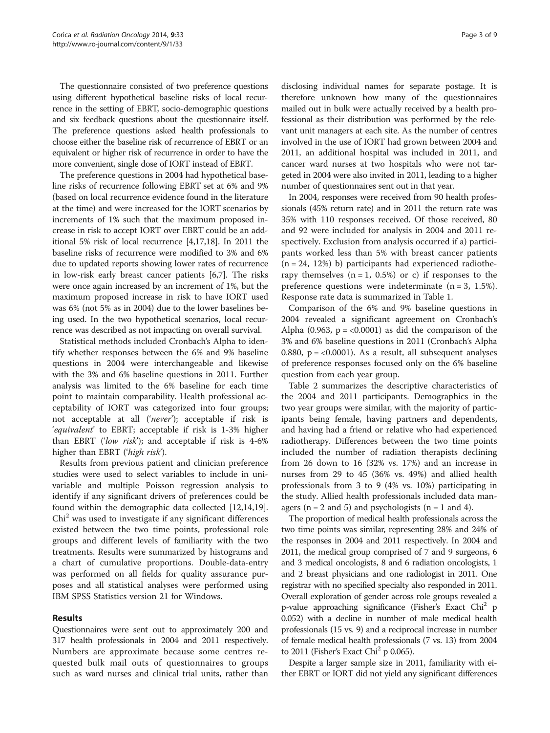The questionnaire consisted of two preference questions using different hypothetical baseline risks of local recurrence in the setting of EBRT, socio-demographic questions and six feedback questions about the questionnaire itself. The preference questions asked health professionals to choose either the baseline risk of recurrence of EBRT or an equivalent or higher risk of recurrence in order to have the more convenient, single dose of IORT instead of EBRT.

The preference questions in 2004 had hypothetical baseline risks of recurrence following EBRT set at 6% and 9% (based on local recurrence evidence found in the literature at the time) and were increased for the IORT scenarios by increments of 1% such that the maximum proposed increase in risk to accept IORT over EBRT could be an additional 5% risk of local recurrence [[4,17,18\]](#page-8-0). In 2011 the baseline risks of recurrence were modified to 3% and 6% due to updated reports showing lower rates of recurrence in low-risk early breast cancer patients [[6](#page-8-0),[7](#page-8-0)]. The risks were once again increased by an increment of 1%, but the maximum proposed increase in risk to have IORT used was 6% (not 5% as in 2004) due to the lower baselines being used. In the two hypothetical scenarios, local recurrence was described as not impacting on overall survival.

Statistical methods included Cronbach's Alpha to identify whether responses between the 6% and 9% baseline questions in 2004 were interchangeable and likewise with the 3% and 6% baseline questions in 2011. Further analysis was limited to the 6% baseline for each time point to maintain comparability. Health professional acceptability of IORT was categorized into four groups; not acceptable at all ('never'); acceptable if risk is 'equivalent' to EBRT; acceptable if risk is 1-3% higher than EBRT ('low  $risk$ '); and acceptable if risk is 4-6% higher than EBRT ('high risk').

Results from previous patient and clinician preference studies were used to select variables to include in univariable and multiple Poisson regression analysis to identify if any significant drivers of preferences could be found within the demographic data collected [\[12,14,19](#page-8-0)].  $Chi<sup>2</sup>$  was used to investigate if any significant differences existed between the two time points, professional role groups and different levels of familiarity with the two treatments. Results were summarized by histograms and a chart of cumulative proportions. Double-data-entry was performed on all fields for quality assurance purposes and all statistical analyses were performed using IBM SPSS Statistics version 21 for Windows.

# Results

Questionnaires were sent out to approximately 200 and 317 health professionals in 2004 and 2011 respectively. Numbers are approximate because some centres requested bulk mail outs of questionnaires to groups such as ward nurses and clinical trial units, rather than

disclosing individual names for separate postage. It is therefore unknown how many of the questionnaires mailed out in bulk were actually received by a health professional as their distribution was performed by the relevant unit managers at each site. As the number of centres involved in the use of IORT had grown between 2004 and 2011, an additional hospital was included in 2011, and cancer ward nurses at two hospitals who were not targeted in 2004 were also invited in 2011, leading to a higher number of questionnaires sent out in that year.

In 2004, responses were received from 90 health professionals (45% return rate) and in 2011 the return rate was 35% with 110 responses received. Of those received, 80 and 92 were included for analysis in 2004 and 2011 respectively. Exclusion from analysis occurred if a) participants worked less than 5% with breast cancer patients  $(n = 24, 12\%)$  b) participants had experienced radiotherapy themselves  $(n = 1, 0.5\%)$  or c) if responses to the preference questions were indeterminate  $(n = 3, 1.5\%)$ . Response rate data is summarized in Table [1.](#page-3-0)

Comparison of the 6% and 9% baseline questions in 2004 revealed a significant agreement on Cronbach's Alpha (0.963,  $p = < 0.0001$ ) as did the comparison of the 3% and 6% baseline questions in 2011 (Cronbach's Alpha 0.880,  $p = <0.0001$ ). As a result, all subsequent analyses of preference responses focused only on the 6% baseline question from each year group.

Table [2](#page-3-0) summarizes the descriptive characteristics of the 2004 and 2011 participants. Demographics in the two year groups were similar, with the majority of participants being female, having partners and dependents, and having had a friend or relative who had experienced radiotherapy. Differences between the two time points included the number of radiation therapists declining from 26 down to 16 (32% vs. 17%) and an increase in nurses from 29 to 45 (36% vs. 49%) and allied health professionals from 3 to 9 (4% vs. 10%) participating in the study. Allied health professionals included data managers ( $n = 2$  and  $5$ ) and psychologists ( $n = 1$  and  $4$ ).

The proportion of medical health professionals across the two time points was similar, representing 28% and 24% of the responses in 2004 and 2011 respectively. In 2004 and 2011, the medical group comprised of 7 and 9 surgeons, 6 and 3 medical oncologists, 8 and 6 radiation oncologists, 1 and 2 breast physicians and one radiologist in 2011. One registrar with no specified specialty also responded in 2011. Overall exploration of gender across role groups revealed a p-value approaching significance (Fisher's Exact Chi<sup>2</sup> p 0.052) with a decline in number of male medical health professionals (15 vs. 9) and a reciprocal increase in number of female medical health professionals (7 vs. 13) from 2004 to 2011 (Fisher's Exact Chi<sup>2</sup> p 0.065).

Despite a larger sample size in 2011, familiarity with either EBRT or IORT did not yield any significant differences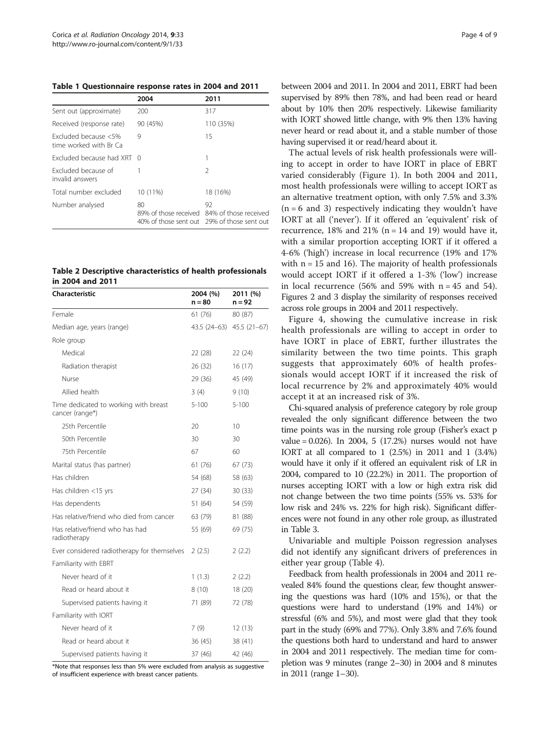<span id="page-3-0"></span>Table 1 Questionnaire response rates in 2004 and 2011

|                                                | 2004     | 2011                                                                                               |  |
|------------------------------------------------|----------|----------------------------------------------------------------------------------------------------|--|
| Sent out (approximate)                         | 200      | 317                                                                                                |  |
| Received (response rate)                       | 90 (45%) | 110 (35%)                                                                                          |  |
| Excluded because <5%<br>time worked with Br Ca | 9        | 15                                                                                                 |  |
| Excluded because had XRT 0                     |          |                                                                                                    |  |
| Excluded because of<br>invalid answers         |          | 2                                                                                                  |  |
| Total number excluded                          | 10 (11%) | 18 (16%)                                                                                           |  |
| Number analysed                                | 80       | 92<br>89% of those received 84% of those received<br>40% of those sent out - 29% of those sent out |  |

Table 2 Descriptive characteristics of health professionals in 2004 and 2011

| Characteristic                                           | 2004 (%)<br>$n = 80$ | 2011 (%)<br>n = 92<br>80 (87)<br>43.5 (24-63) 45.5 (21-67) |  |
|----------------------------------------------------------|----------------------|------------------------------------------------------------|--|
| Female                                                   | 61 (76)              |                                                            |  |
| Median age, years (range)                                |                      |                                                            |  |
| Role group                                               |                      |                                                            |  |
| Medical                                                  | 22 (28)              | 22 (24)                                                    |  |
| Radiation therapist                                      | 26 (32)              | 16(17)                                                     |  |
| Nurse                                                    | 29 (36)              | 45 (49)                                                    |  |
| Allied health                                            | 3 (4)                | 9(10)                                                      |  |
| Time dedicated to working with breast<br>cancer (range*) | $5 - 100$            | $5 - 100$                                                  |  |
| 25th Percentile                                          | 20                   | 10                                                         |  |
| 50th Percentile                                          | 30                   | 30                                                         |  |
| 75th Percentile                                          | 67                   | 60                                                         |  |
| Marital status (has partner)                             | 61 (76)              | 67(73)                                                     |  |
| Has children                                             | 54 (68)              | 58 (63)                                                    |  |
| Has children <15 yrs                                     | 27 (34)              | 30(33)                                                     |  |
| Has dependents                                           | 51 (64)              | 54 (59)                                                    |  |
| Has relative/friend who died from cancer                 | 63 (79)              | 81 (88)                                                    |  |
| Has relative/friend who has had<br>radiotherapy          | 55 (69)              | 69 (75)                                                    |  |
| Ever considered radiotherapy for themselves              | 2(2.5)               | 2(2.2)                                                     |  |
| Familiarity with EBRT                                    |                      |                                                            |  |
| Never heard of it                                        | 1(1.3)               | 2(2.2)                                                     |  |
| Read or heard about it                                   | 8 (10)               | 18(20)                                                     |  |
| Supervised patients having it                            | 71 (89)              | 72 (78)                                                    |  |
| Familiarity with IORT                                    |                      |                                                            |  |
| Never heard of it                                        | 7(9)                 | 12 (13)                                                    |  |
| Read or heard about it                                   | 36 (45)              | 38 (41)                                                    |  |
| Supervised patients having it                            | 37 (46)              | 42 (46)                                                    |  |

\*Note that responses less than 5% were excluded from analysis as suggestive of insufficient experience with breast cancer patients.

between 2004 and 2011. In 2004 and 2011, EBRT had been supervised by 89% then 78%, and had been read or heard about by 10% then 20% respectively. Likewise familiarity with IORT showed little change, with 9% then 13% having never heard or read about it, and a stable number of those having supervised it or read/heard about it.

The actual levels of risk health professionals were willing to accept in order to have IORT in place of EBRT varied considerably (Figure [1\)](#page-4-0). In both 2004 and 2011, most health professionals were willing to accept IORT as an alternative treatment option, with only 7.5% and 3.3%  $(n = 6$  and 3) respectively indicating they wouldn't have IORT at all ('never'). If it offered an 'equivalent' risk of recurrence,  $18\%$  and  $21\%$  (n = 14 and 19) would have it, with a similar proportion accepting IORT if it offered a 4-6% ('high') increase in local recurrence (19% and 17% with  $n = 15$  and 16). The majority of health professionals would accept IORT if it offered a 1-3% ('low') increase in local recurrence (56% and 59% with  $n = 45$  and 54). Figures [2](#page-5-0) and [3](#page-5-0) display the similarity of responses received across role groups in 2004 and 2011 respectively.

Figure [4](#page-6-0), showing the cumulative increase in risk health professionals are willing to accept in order to have IORT in place of EBRT, further illustrates the similarity between the two time points. This graph suggests that approximately 60% of health professionals would accept IORT if it increased the risk of local recurrence by 2% and approximately 40% would accept it at an increased risk of 3%.

Chi-squared analysis of preference category by role group revealed the only significant difference between the two time points was in the nursing role group (Fisher's exact p value = 0.026). In 2004, 5 (17.2%) nurses would not have IORT at all compared to 1 (2.5%) in 2011 and 1 (3.4%) would have it only if it offered an equivalent risk of LR in 2004, compared to 10 (22.2%) in 2011. The proportion of nurses accepting IORT with a low or high extra risk did not change between the two time points (55% vs. 53% for low risk and 24% vs. 22% for high risk). Significant differences were not found in any other role group, as illustrated in Table [3](#page-6-0).

Univariable and multiple Poisson regression analyses did not identify any significant drivers of preferences in either year group (Table [4](#page-7-0)).

Feedback from health professionals in 2004 and 2011 revealed 84% found the questions clear, few thought answering the questions was hard (10% and 15%), or that the questions were hard to understand (19% and 14%) or stressful (6% and 5%), and most were glad that they took part in the study (69% and 77%). Only 3.8% and 7.6% found the questions both hard to understand and hard to answer in 2004 and 2011 respectively. The median time for completion was 9 minutes (range 2–30) in 2004 and 8 minutes in 2011 (range 1–30).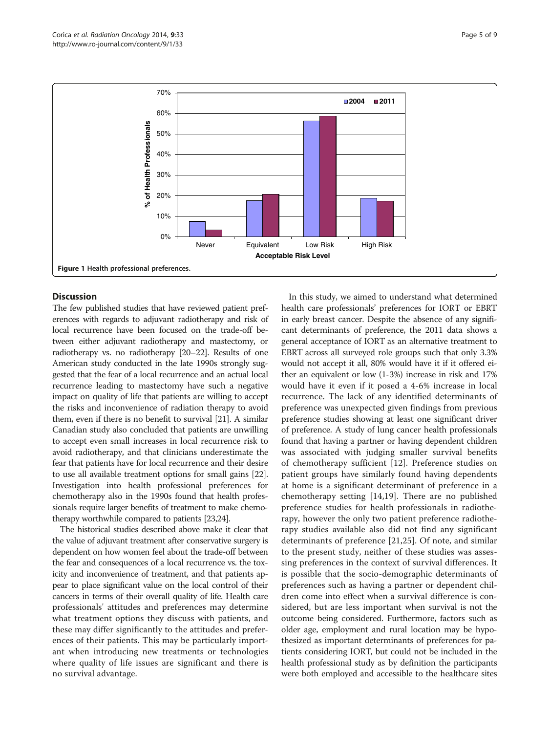<span id="page-4-0"></span>

# **Discussion**

The few published studies that have reviewed patient preferences with regards to adjuvant radiotherapy and risk of local recurrence have been focused on the trade-off between either adjuvant radiotherapy and mastectomy, or radiotherapy vs. no radiotherapy [\[20](#page-8-0)–[22\]](#page-8-0). Results of one American study conducted in the late 1990s strongly suggested that the fear of a local recurrence and an actual local recurrence leading to mastectomy have such a negative impact on quality of life that patients are willing to accept the risks and inconvenience of radiation therapy to avoid them, even if there is no benefit to survival [[21](#page-8-0)]. A similar Canadian study also concluded that patients are unwilling to accept even small increases in local recurrence risk to avoid radiotherapy, and that clinicians underestimate the fear that patients have for local recurrence and their desire to use all available treatment options for small gains [[22](#page-8-0)]. Investigation into health professional preferences for chemotherapy also in the 1990s found that health professionals require larger benefits of treatment to make chemotherapy worthwhile compared to patients [[23,24\]](#page-8-0).

The historical studies described above make it clear that the value of adjuvant treatment after conservative surgery is dependent on how women feel about the trade-off between the fear and consequences of a local recurrence vs. the toxicity and inconvenience of treatment, and that patients appear to place significant value on the local control of their cancers in terms of their overall quality of life. Health care professionals' attitudes and preferences may determine what treatment options they discuss with patients, and these may differ significantly to the attitudes and preferences of their patients. This may be particularly important when introducing new treatments or technologies where quality of life issues are significant and there is no survival advantage.

In this study, we aimed to understand what determined health care professionals' preferences for IORT or EBRT in early breast cancer. Despite the absence of any significant determinants of preference, the 2011 data shows a general acceptance of IORT as an alternative treatment to EBRT across all surveyed role groups such that only 3.3% would not accept it all, 80% would have it if it offered either an equivalent or low (1-3%) increase in risk and 17% would have it even if it posed a 4-6% increase in local recurrence. The lack of any identified determinants of preference was unexpected given findings from previous preference studies showing at least one significant driver of preference. A study of lung cancer health professionals found that having a partner or having dependent children was associated with judging smaller survival benefits of chemotherapy sufficient [[12](#page-8-0)]. Preference studies on patient groups have similarly found having dependents at home is a significant determinant of preference in a chemotherapy setting [[14,19](#page-8-0)]. There are no published preference studies for health professionals in radiotherapy, however the only two patient preference radiotherapy studies available also did not find any significant determinants of preference [[21,25](#page-8-0)]. Of note, and similar to the present study, neither of these studies was assessing preferences in the context of survival differences. It is possible that the socio-demographic determinants of preferences such as having a partner or dependent children come into effect when a survival difference is considered, but are less important when survival is not the outcome being considered. Furthermore, factors such as older age, employment and rural location may be hypothesized as important determinants of preferences for patients considering IORT, but could not be included in the health professional study as by definition the participants were both employed and accessible to the healthcare sites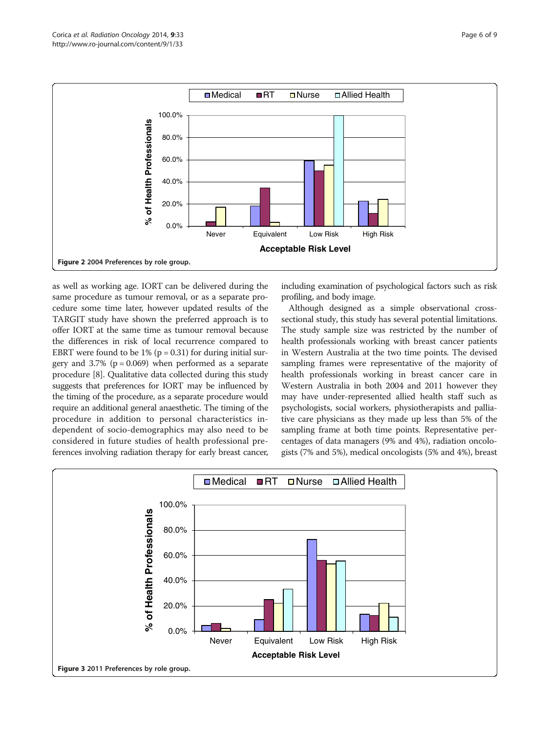<span id="page-5-0"></span>

as well as working age. IORT can be delivered during the same procedure as tumour removal, or as a separate procedure some time later, however updated results of the TARGIT study have shown the preferred approach is to offer IORT at the same time as tumour removal because the differences in risk of local recurrence compared to EBRT were found to be  $1\%$  (p = 0.31) for during initial surgery and  $3.7\%$  ( $p = 0.069$ ) when performed as a separate procedure [[8](#page-8-0)]. Qualitative data collected during this study suggests that preferences for IORT may be influenced by the timing of the procedure, as a separate procedure would require an additional general anaesthetic. The timing of the procedure in addition to personal characteristics independent of socio-demographics may also need to be considered in future studies of health professional preferences involving radiation therapy for early breast cancer,

including examination of psychological factors such as risk profiling, and body image.

Although designed as a simple observational crosssectional study, this study has several potential limitations. The study sample size was restricted by the number of health professionals working with breast cancer patients in Western Australia at the two time points. The devised sampling frames were representative of the majority of health professionals working in breast cancer care in Western Australia in both 2004 and 2011 however they may have under-represented allied health staff such as psychologists, social workers, physiotherapists and palliative care physicians as they made up less than 5% of the sampling frame at both time points. Representative percentages of data managers (9% and 4%), radiation oncologists (7% and 5%), medical oncologists (5% and 4%), breast

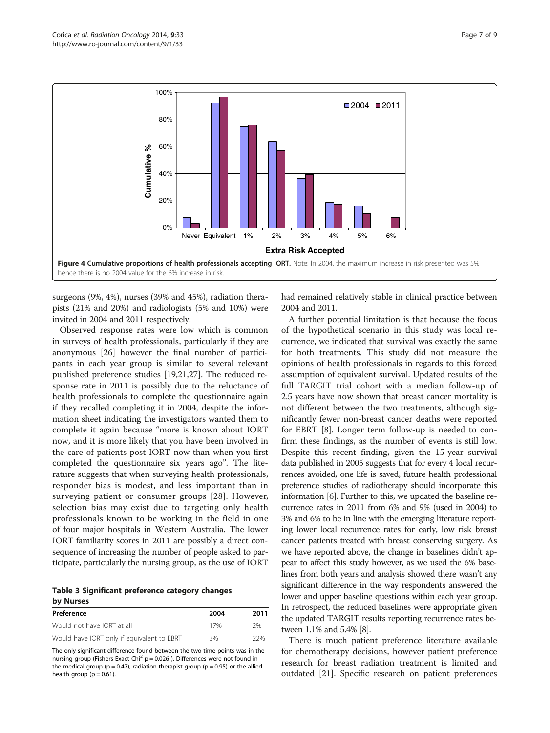<span id="page-6-0"></span>

surgeons (9%, 4%), nurses (39% and 45%), radiation therapists (21% and 20%) and radiologists (5% and 10%) were invited in 2004 and 2011 respectively.

Observed response rates were low which is common in surveys of health professionals, particularly if they are anonymous [\[26\]](#page-8-0) however the final number of participants in each year group is similar to several relevant published preference studies [[19,21,27](#page-8-0)]. The reduced response rate in 2011 is possibly due to the reluctance of health professionals to complete the questionnaire again if they recalled completing it in 2004, despite the information sheet indicating the investigators wanted them to complete it again because "more is known about IORT now, and it is more likely that you have been involved in the care of patients post IORT now than when you first completed the questionnaire six years ago". The literature suggests that when surveying health professionals, responder bias is modest, and less important than in surveying patient or consumer groups [[28](#page-8-0)]. However, selection bias may exist due to targeting only health professionals known to be working in the field in one of four major hospitals in Western Australia. The lower IORT familiarity scores in 2011 are possibly a direct consequence of increasing the number of people asked to participate, particularly the nursing group, as the use of IORT

Table 3 Significant preference category changes by Nurses

| Preference                                 | 2004 | 2011 |
|--------------------------------------------|------|------|
| Would not have IORT at all                 | 17%  | 2%   |
| Would have IORT only if equivalent to EBRT | 3%   | 22%  |

The only significant difference found between the two time points was in the nursing group (Fishers Exact Chi<sup>2</sup> p = 0.026 ). Differences were not found in the medical group ( $p = 0.47$ ), radiation therapist group ( $p = 0.95$ ) or the allied health group ( $p = 0.61$ ).

had remained relatively stable in clinical practice between 2004 and 2011.

A further potential limitation is that because the focus of the hypothetical scenario in this study was local recurrence, we indicated that survival was exactly the same for both treatments. This study did not measure the opinions of health professionals in regards to this forced assumption of equivalent survival. Updated results of the full TARGIT trial cohort with a median follow-up of 2.5 years have now shown that breast cancer mortality is not different between the two treatments, although significantly fewer non-breast cancer deaths were reported for EBRT [\[8](#page-8-0)]. Longer term follow-up is needed to confirm these findings, as the number of events is still low. Despite this recent finding, given the 15-year survival data published in 2005 suggests that for every 4 local recurrences avoided, one life is saved, future health professional preference studies of radiotherapy should incorporate this information [[6](#page-8-0)]. Further to this, we updated the baseline recurrence rates in 2011 from 6% and 9% (used in 2004) to 3% and 6% to be in line with the emerging literature reporting lower local recurrence rates for early, low risk breast cancer patients treated with breast conserving surgery. As we have reported above, the change in baselines didn't appear to affect this study however, as we used the 6% baselines from both years and analysis showed there wasn't any significant difference in the way respondents answered the lower and upper baseline questions within each year group. In retrospect, the reduced baselines were appropriate given the updated TARGIT results reporting recurrence rates between 1.1% and 5.4% [\[8\]](#page-8-0).

There is much patient preference literature available for chemotherapy decisions, however patient preference research for breast radiation treatment is limited and outdated [[21](#page-8-0)]. Specific research on patient preferences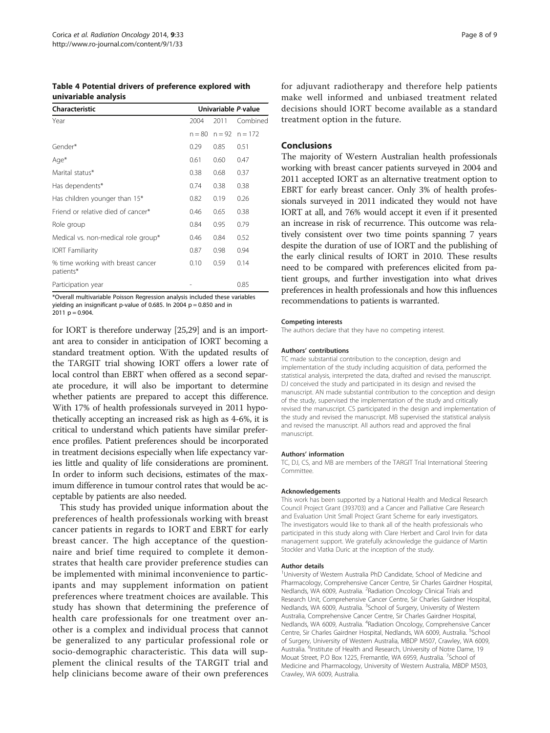<span id="page-7-0"></span>Table 4 Potential drivers of preference explored with univariable analysis

| Characteristic                                 | Univariable P-value |          |           |  |
|------------------------------------------------|---------------------|----------|-----------|--|
| Year                                           | 2004                | 2011     | Combined  |  |
|                                                | $n = 80$            | $n = 92$ | $n = 172$ |  |
| Gender*                                        |                     | 0.85     | 0.51      |  |
| Age*                                           | 0.61                | 0.60     | 0.47      |  |
| Marital status*                                | 0.38                | 0.68     | 0.37      |  |
| Has dependents*                                | 0.74                | 0.38     | 0.38      |  |
| Has children younger than 15*                  | 0.82                | 0.19     | 0.26      |  |
| Friend or relative died of cancer*             | 0.46                | 0.65     | 0.38      |  |
| Role group                                     | 0.84                | 0.95     | 0.79      |  |
| Medical vs. non-medical role group*            | 0.46                | 0.84     | 0.52      |  |
| <b>IORT</b> Familiarity                        | 0.87                | 0.98     | 0.94      |  |
| % time working with breast cancer<br>patients* | 0.10                | 0.59     | 0.14      |  |
| Participation year                             |                     |          | 0.85      |  |

\*Overall multivariable Poisson Regression analysis included these variables yielding an insignificant p-value of 0.685. In 2004  $p = 0.850$  and in 2011  $p = 0.904$ .

for IORT is therefore underway [[25,29](#page-8-0)] and is an important area to consider in anticipation of IORT becoming a standard treatment option. With the updated results of the TARGIT trial showing IORT offers a lower rate of local control than EBRT when offered as a second separate procedure, it will also be important to determine whether patients are prepared to accept this difference. With 17% of health professionals surveyed in 2011 hypothetically accepting an increased risk as high as 4-6%, it is critical to understand which patients have similar preference profiles. Patient preferences should be incorporated in treatment decisions especially when life expectancy varies little and quality of life considerations are prominent. In order to inform such decisions, estimates of the maximum difference in tumour control rates that would be acceptable by patients are also needed.

This study has provided unique information about the preferences of health professionals working with breast cancer patients in regards to IORT and EBRT for early breast cancer. The high acceptance of the questionnaire and brief time required to complete it demonstrates that health care provider preference studies can be implemented with minimal inconvenience to participants and may supplement information on patient preferences where treatment choices are available. This study has shown that determining the preference of health care professionals for one treatment over another is a complex and individual process that cannot be generalized to any particular professional role or socio-demographic characteristic. This data will supplement the clinical results of the TARGIT trial and help clinicians become aware of their own preferences

for adjuvant radiotherapy and therefore help patients make well informed and unbiased treatment related decisions should IORT become available as a standard treatment option in the future.

# Conclusions

The majority of Western Australian health professionals working with breast cancer patients surveyed in 2004 and 2011 accepted IORT as an alternative treatment option to EBRT for early breast cancer. Only 3% of health professionals surveyed in 2011 indicated they would not have IORT at all, and 76% would accept it even if it presented an increase in risk of recurrence. This outcome was relatively consistent over two time points spanning 7 years despite the duration of use of IORT and the publishing of the early clinical results of IORT in 2010. These results need to be compared with preferences elicited from patient groups, and further investigation into what drives preferences in health professionals and how this influences recommendations to patients is warranted.

#### Competing interests

The authors declare that they have no competing interest.

#### Authors' contributions

TC made substantial contribution to the conception, design and implementation of the study including acquisition of data, performed the statistical analysis, interpreted the data, drafted and revised the manuscript. DJ conceived the study and participated in its design and revised the manuscript. AN made substantial contribution to the conception and design of the study, supervised the implementation of the study and critically revised the manuscript. CS participated in the design and implementation of the study and revised the manuscript. MB supervised the statistical analysis and revised the manuscript. All authors read and approved the final manuscript.

#### Authors' information

TC, DJ, CS, and MB are members of the TARGIT Trial International Steering Committee.

#### Acknowledgements

This work has been supported by a National Health and Medical Research Council Project Grant (393703) and a Cancer and Palliative Care Research and Evaluation Unit Small Project Grant Scheme for early investigators. The investigators would like to thank all of the health professionals who participated in this study along with Clare Herbert and Carol Irvin for data management support. We gratefully acknowledge the guidance of Martin Stockler and Vlatka Duric at the inception of the study.

#### Author details

<sup>1</sup>University of Western Australia PhD Candidate, School of Medicine and Pharmacology, Comprehensive Cancer Centre, Sir Charles Gairdner Hospital, Nedlands, WA 6009, Australia. <sup>2</sup> Radiation Oncology Clinical Trials and Research Unit, Comprehensive Cancer Centre, Sir Charles Gairdner Hospital, Nedlands, WA 6009, Australia. <sup>3</sup>School of Surgery, University of Western Australia, Comprehensive Cancer Centre, Sir Charles Gairdner Hospital, Nedlands, WA 6009, Australia. <sup>4</sup>Radiation Oncology, Comprehensive Cancer Centre, Sir Charles Gairdner Hospital, Nedlands, WA 6009, Australia. <sup>5</sup>School of Surgery, University of Western Australia, MBDP M507, Crawley, WA 6009, Australia. <sup>6</sup>Institute of Health and Research, University of Notre Dame, 19 Mouat Street, P.O Box 1225, Fremantle, WA 6959, Australia. <sup>7</sup>School of Medicine and Pharmacology, University of Western Australia, MBDP M503, Crawley, WA 6009, Australia.